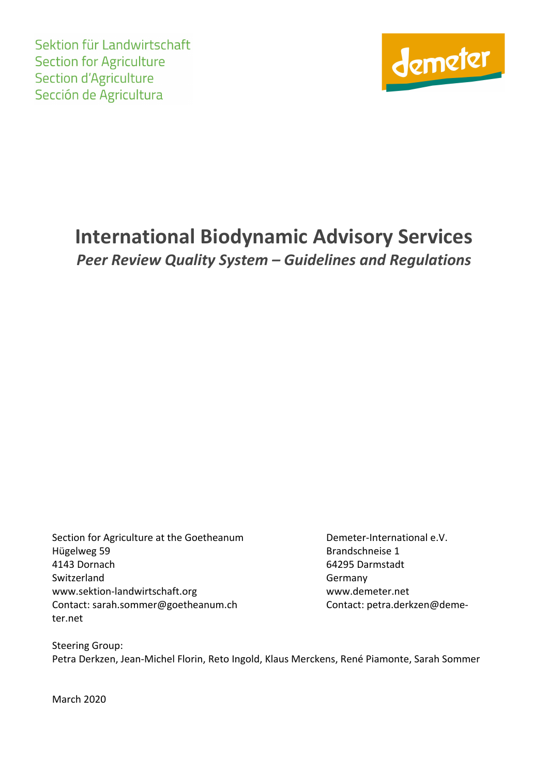Sektion für Landwirtschaft **Section for Agriculture Section d'Agriculture** Sección de Agricultura



# **International Biodynamic Advisory Services** *Peer Review Quality System – Guidelines and Regulations*

Section for Agriculture at the Goetheanum Demeter-International e.V. Hügelweg 59 Brandschneise 1 4143 Dornach 64295 Darmstadt Switzerland Germany www.sektion-landwirtschaft.org www.demeter.net Contact: sarah.sommer@goetheanum.ch Contact: petra.derkzen@demeter.net

Steering Group: Petra Derkzen, Jean-Michel Florin, Reto Ingold, Klaus Merckens, René Piamonte, Sarah Sommer

March 2020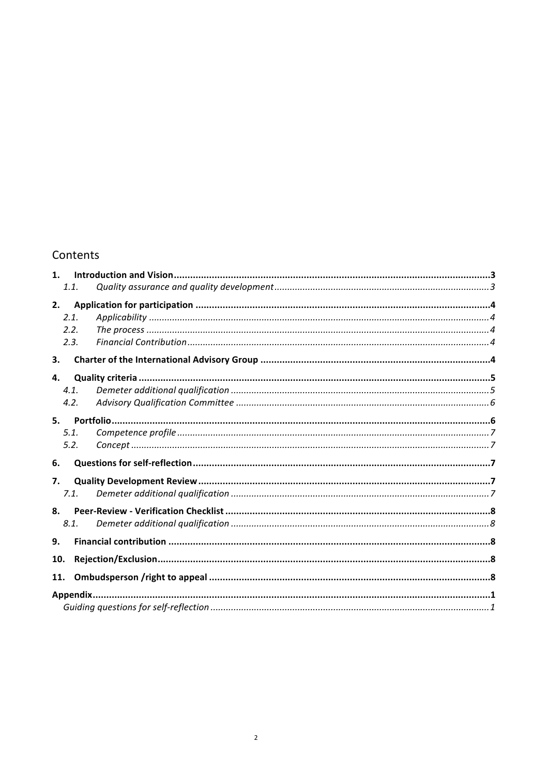#### Contents

| 1 <sub>1</sub> |           |  |
|----------------|-----------|--|
|                | 1.1.      |  |
| 2.             |           |  |
|                | 2.1.      |  |
|                | 2.2.      |  |
|                | 2.3.      |  |
| 3.             |           |  |
| 4.             |           |  |
|                | 4.1.      |  |
|                | 4.2.      |  |
| 5.             |           |  |
|                | 5.1.      |  |
|                | 5.2.      |  |
| 6.             |           |  |
| 7.             |           |  |
|                | 7.1.      |  |
| 8.             |           |  |
|                | 8.1.      |  |
| 9.             |           |  |
| 10.            |           |  |
| 11.            |           |  |
|                |           |  |
|                | Appendix. |  |
|                |           |  |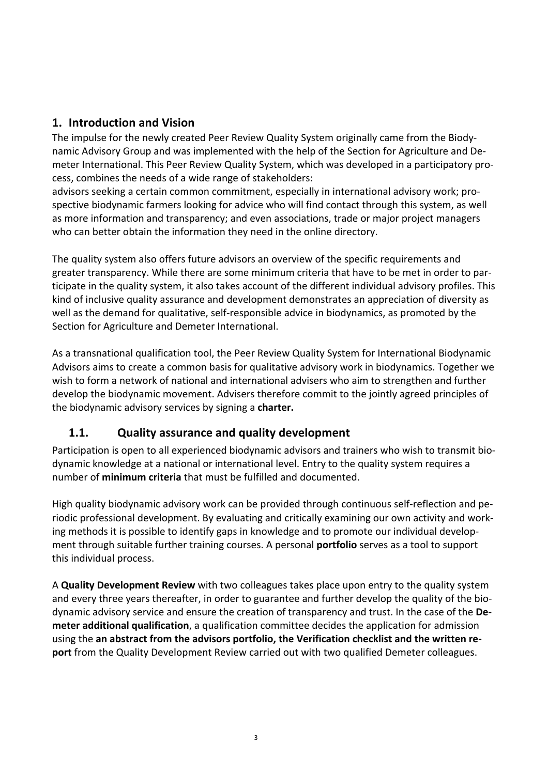## **1. Introduction and Vision**

The impulse for the newly created Peer Review Quality System originally came from the Biodynamic Advisory Group and was implemented with the help of the Section for Agriculture and Demeter International. This Peer Review Quality System, which was developed in a participatory process, combines the needs of a wide range of stakeholders:

advisors seeking a certain common commitment, especially in international advisory work; prospective biodynamic farmers looking for advice who will find contact through this system, as well as more information and transparency; and even associations, trade or major project managers who can better obtain the information they need in the online directory.

The quality system also offers future advisors an overview of the specific requirements and greater transparency. While there are some minimum criteria that have to be met in order to participate in the quality system, it also takes account of the different individual advisory profiles. This kind of inclusive quality assurance and development demonstrates an appreciation of diversity as well as the demand for qualitative, self-responsible advice in biodynamics, as promoted by the Section for Agriculture and Demeter International.

As a transnational qualification tool, the Peer Review Quality System for International Biodynamic Advisors aims to create a common basis for qualitative advisory work in biodynamics. Together we wish to form a network of national and international advisers who aim to strengthen and further develop the biodynamic movement. Advisers therefore commit to the jointly agreed principles of the biodynamic advisory services by signing a charter.

## **1.1. Quality assurance and quality development**

Participation is open to all experienced biodynamic advisors and trainers who wish to transmit biodynamic knowledge at a national or international level. Entry to the quality system requires a number of **minimum criteria** that must be fulfilled and documented.

High quality biodynamic advisory work can be provided through continuous self-reflection and periodic professional development. By evaluating and critically examining our own activity and working methods it is possible to identify gaps in knowledge and to promote our individual development through suitable further training courses. A personal **portfolio** serves as a tool to support this individual process.

A **Quality Development Review** with two colleagues takes place upon entry to the quality system and every three years thereafter, in order to guarantee and further develop the quality of the biodynamic advisory service and ensure the creation of transparency and trust. In the case of the **Demeter additional qualification**, a qualification committee decides the application for admission using the an abstract from the advisors portfolio, the Verification checklist and the written re**port** from the Quality Development Review carried out with two qualified Demeter colleagues.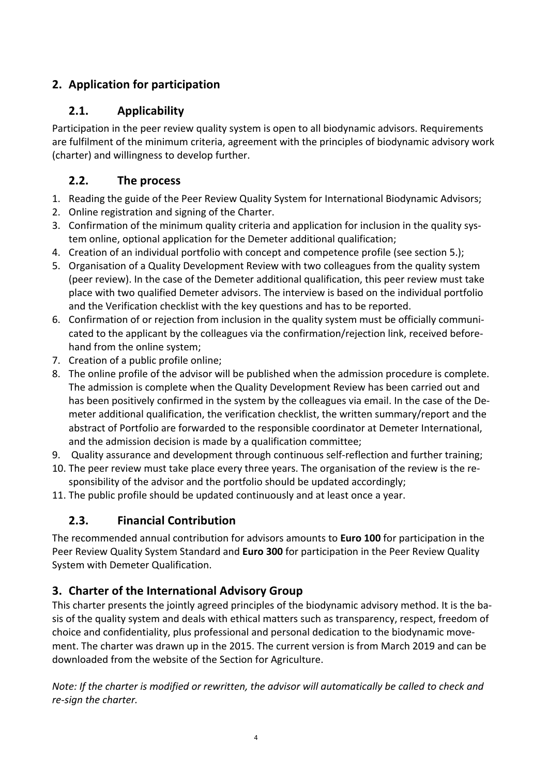# **2. Application for participation**

# **2.1. Applicability**

Participation in the peer review quality system is open to all biodynamic advisors. Requirements are fulfilment of the minimum criteria, agreement with the principles of biodynamic advisory work (charter) and willingness to develop further.

# **2.2.** The process

- 1. Reading the guide of the Peer Review Quality System for International Biodynamic Advisors;
- 2. Online registration and signing of the Charter.
- 3. Confirmation of the minimum quality criteria and application for inclusion in the quality system online, optional application for the Demeter additional qualification;
- 4. Creation of an individual portfolio with concept and competence profile (see section 5.);
- 5. Organisation of a Quality Development Review with two colleagues from the quality system (peer review). In the case of the Demeter additional qualification, this peer review must take place with two qualified Demeter advisors. The interview is based on the individual portfolio and the Verification checklist with the key questions and has to be reported.
- 6. Confirmation of or rejection from inclusion in the quality system must be officially communicated to the applicant by the colleagues via the confirmation/rejection link, received beforehand from the online system;
- 7. Creation of a public profile online;
- 8. The online profile of the advisor will be published when the admission procedure is complete. The admission is complete when the Quality Development Review has been carried out and has been positively confirmed in the system by the colleagues via email. In the case of the Demeter additional qualification, the verification checklist, the written summary/report and the abstract of Portfolio are forwarded to the responsible coordinator at Demeter International, and the admission decision is made by a qualification committee;
- 9. Quality assurance and development through continuous self-reflection and further training;
- 10. The peer review must take place every three years. The organisation of the review is the responsibility of the advisor and the portfolio should be updated accordingly;
- 11. The public profile should be updated continuously and at least once a year.

# **2.3. Financial Contribution**

The recommended annual contribution for advisors amounts to **Euro 100** for participation in the Peer Review Quality System Standard and **Euro 300** for participation in the Peer Review Quality System with Demeter Qualification.

# **3. Charter of the International Advisory Group**

This charter presents the jointly agreed principles of the biodynamic advisory method. It is the basis of the quality system and deals with ethical matters such as transparency, respect, freedom of choice and confidentiality, plus professional and personal dedication to the biodynamic movement. The charter was drawn up in the 2015. The current version is from March 2019 and can be downloaded from the website of the Section for Agriculture.

*Note: If the charter is modified or rewritten, the advisor will automatically be called to check and re-sign the charter.*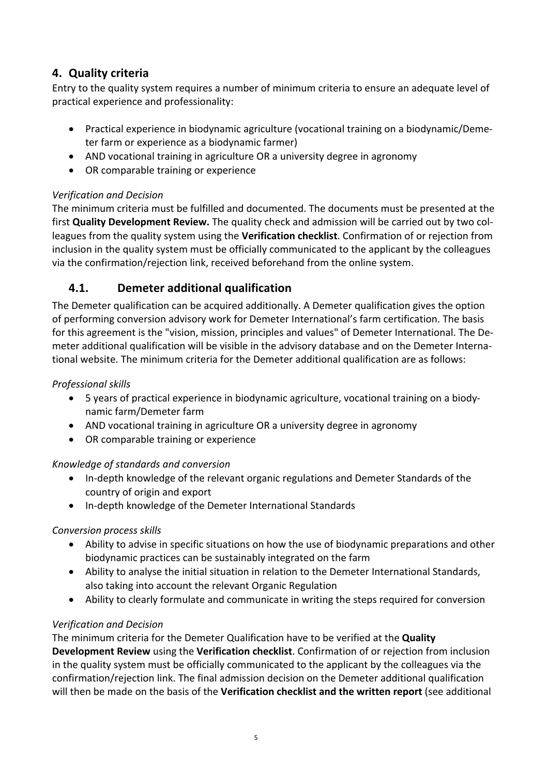# **4. Quality criteria**

Entry to the quality system requires a number of minimum criteria to ensure an adequate level of practical experience and professionality:

- Practical experience in biodynamic agriculture (vocational training on a biodynamic/Demeter farm or experience as a biodynamic farmer)
- AND vocational training in agriculture OR a university degree in agronomy
- OR comparable training or experience

#### *Verification and Decision*

The minimum criteria must be fulfilled and documented. The documents must be presented at the first **Quality Development Review.** The quality check and admission will be carried out by two colleagues from the quality system using the Verification checklist. Confirmation of or rejection from inclusion in the quality system must be officially communicated to the applicant by the colleagues via the confirmation/rejection link, received beforehand from the online system.

# **4.1. Demeter additional qualification**

The Demeter qualification can be acquired additionally. A Demeter qualification gives the option of performing conversion advisory work for Demeter International's farm certification. The basis for this agreement is the "vision, mission, principles and values" of Demeter International. The Demeter additional qualification will be visible in the advisory database and on the Demeter International website. The minimum criteria for the Demeter additional qualification are as follows:

#### *Professional skills*

- 5 years of practical experience in biodynamic agriculture, vocational training on a biodynamic farm/Demeter farm
- AND vocational training in agriculture OR a university degree in agronomy
- OR comparable training or experience

#### *Knowledge of standards and conversion*

- In-depth knowledge of the relevant organic regulations and Demeter Standards of the country of origin and export
- In-depth knowledge of the Demeter International Standards

#### *Conversion process skills*

- Ability to advise in specific situations on how the use of biodynamic preparations and other biodynamic practices can be sustainably integrated on the farm
- Ability to analyse the initial situation in relation to the Demeter International Standards, also taking into account the relevant Organic Regulation
- Ability to clearly formulate and communicate in writing the steps required for conversion

#### *Verification and Decision*

The minimum criteria for the Demeter Qualification have to be verified at the **Quality Development Review** using the **Verification checklist**. Confirmation of or rejection from inclusion in the quality system must be officially communicated to the applicant by the colleagues via the confirmation/rejection link. The final admission decision on the Demeter additional qualification will then be made on the basis of the Verification checklist and the written report (see additional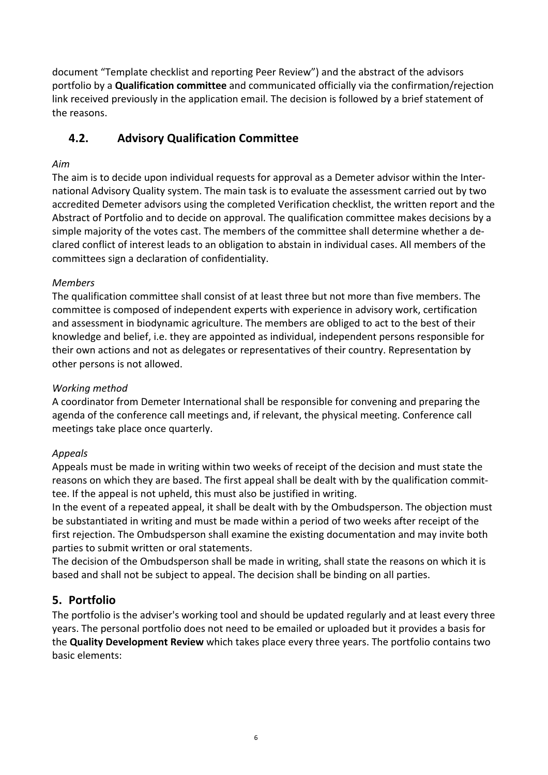document "Template checklist and reporting Peer Review") and the abstract of the advisors portfolio by a **Qualification committee** and communicated officially via the confirmation/rejection link received previously in the application email. The decision is followed by a brief statement of the reasons.

# **4.2. Advisory Qualification Committee**

#### *Aim*

The aim is to decide upon individual requests for approval as a Demeter advisor within the International Advisory Quality system. The main task is to evaluate the assessment carried out by two accredited Demeter advisors using the completed Verification checklist, the written report and the Abstract of Portfolio and to decide on approval. The qualification committee makes decisions by a simple majority of the votes cast. The members of the committee shall determine whether a declared conflict of interest leads to an obligation to abstain in individual cases. All members of the committees sign a declaration of confidentiality.

#### *Members*

The qualification committee shall consist of at least three but not more than five members. The committee is composed of independent experts with experience in advisory work, certification and assessment in biodynamic agriculture. The members are obliged to act to the best of their knowledge and belief, i.e. they are appointed as individual, independent persons responsible for their own actions and not as delegates or representatives of their country. Representation by other persons is not allowed.

#### *Working method*

A coordinator from Demeter International shall be responsible for convening and preparing the agenda of the conference call meetings and, if relevant, the physical meeting. Conference call meetings take place once quarterly.

#### *Appeals*

Appeals must be made in writing within two weeks of receipt of the decision and must state the reasons on which they are based. The first appeal shall be dealt with by the qualification committee. If the appeal is not upheld, this must also be justified in writing.

In the event of a repeated appeal, it shall be dealt with by the Ombudsperson. The objection must be substantiated in writing and must be made within a period of two weeks after receipt of the first rejection. The Ombudsperson shall examine the existing documentation and may invite both parties to submit written or oral statements.

The decision of the Ombudsperson shall be made in writing, shall state the reasons on which it is based and shall not be subject to appeal. The decision shall be binding on all parties.

## **5. Portfolio**

The portfolio is the adviser's working tool and should be updated regularly and at least every three years. The personal portfolio does not need to be emailed or uploaded but it provides a basis for the **Quality Development Review** which takes place every three years. The portfolio contains two basic elements: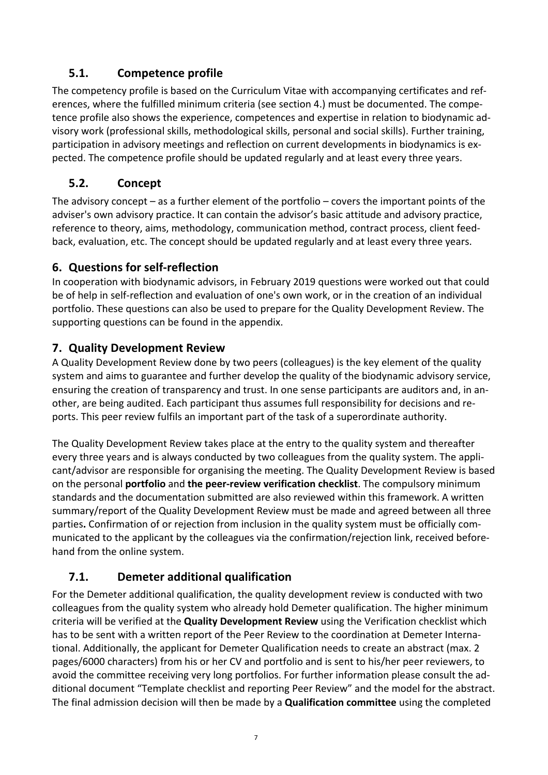# **5.1. Competence profile**

The competency profile is based on the Curriculum Vitae with accompanying certificates and references, where the fulfilled minimum criteria (see section 4.) must be documented. The competence profile also shows the experience, competences and expertise in relation to biodynamic advisory work (professional skills, methodological skills, personal and social skills). Further training, participation in advisory meetings and reflection on current developments in biodynamics is expected. The competence profile should be updated regularly and at least every three years.

# **5.2. Concept**

The advisory concept – as a further element of the portfolio – covers the important points of the adviser's own advisory practice. It can contain the advisor's basic attitude and advisory practice, reference to theory, aims, methodology, communication method, contract process, client feedback, evaluation, etc. The concept should be updated regularly and at least every three years.

# **6.** Questions for self-reflection

In cooperation with biodynamic advisors, in February 2019 questions were worked out that could be of help in self-reflection and evaluation of one's own work, or in the creation of an individual portfolio. These questions can also be used to prepare for the Quality Development Review. The supporting questions can be found in the appendix.

## **7. Quality Development Review**

A Quality Development Review done by two peers (colleagues) is the key element of the quality system and aims to guarantee and further develop the quality of the biodynamic advisory service, ensuring the creation of transparency and trust. In one sense participants are auditors and, in another, are being audited. Each participant thus assumes full responsibility for decisions and reports. This peer review fulfils an important part of the task of a superordinate authority.

The Quality Development Review takes place at the entry to the quality system and thereafter every three years and is always conducted by two colleagues from the quality system. The applicant/advisor are responsible for organising the meeting. The Quality Development Review is based on the personal **portfolio** and **the peer-review verification checklist**. The compulsory minimum standards and the documentation submitted are also reviewed within this framework. A written summary/report of the Quality Development Review must be made and agreed between all three parties. Confirmation of or rejection from inclusion in the quality system must be officially communicated to the applicant by the colleagues via the confirmation/rejection link, received beforehand from the online system.

# **7.1. Demeter additional qualification**

For the Demeter additional qualification, the quality development review is conducted with two colleagues from the quality system who already hold Demeter qualification. The higher minimum criteria will be verified at the **Quality Development Review** using the Verification checklist which has to be sent with a written report of the Peer Review to the coordination at Demeter International. Additionally, the applicant for Demeter Qualification needs to create an abstract (max. 2 pages/6000 characters) from his or her CV and portfolio and is sent to his/her peer reviewers, to avoid the committee receiving very long portfolios. For further information please consult the additional document "Template checklist and reporting Peer Review" and the model for the abstract. The final admission decision will then be made by a **Qualification committee** using the completed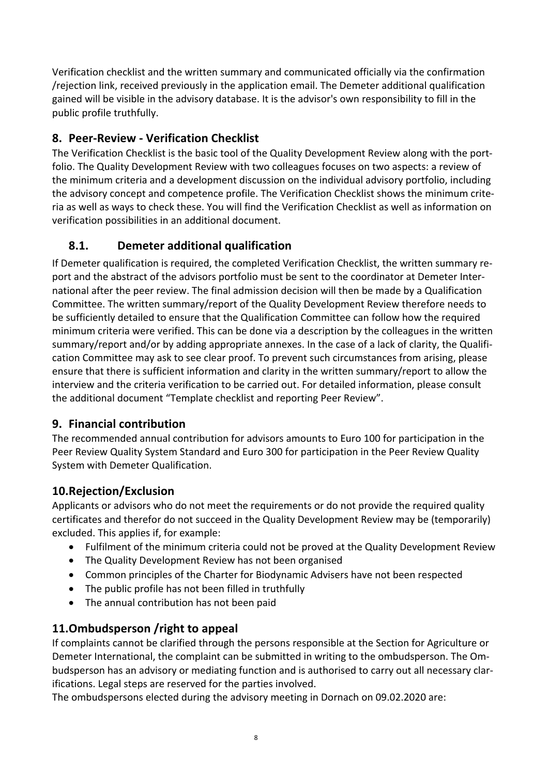Verification checklist and the written summary and communicated officially via the confirmation /rejection link, received previously in the application email. The Demeter additional qualification gained will be visible in the advisory database. It is the advisor's own responsibility to fill in the public profile truthfully.

# **8. Peer-Review - Verification Checklist**

The Verification Checklist is the basic tool of the Quality Development Review along with the portfolio. The Quality Development Review with two colleagues focuses on two aspects: a review of the minimum criteria and a development discussion on the individual advisory portfolio, including the advisory concept and competence profile. The Verification Checklist shows the minimum criteria as well as ways to check these. You will find the Verification Checklist as well as information on verification possibilities in an additional document.

# **8.1. Demeter additional qualification**

If Demeter qualification is required, the completed Verification Checklist, the written summary report and the abstract of the advisors portfolio must be sent to the coordinator at Demeter International after the peer review. The final admission decision will then be made by a Qualification Committee. The written summary/report of the Quality Development Review therefore needs to be sufficiently detailed to ensure that the Qualification Committee can follow how the required minimum criteria were verified. This can be done via a description by the colleagues in the written summary/report and/or by adding appropriate annexes. In the case of a lack of clarity, the Qualification Committee may ask to see clear proof. To prevent such circumstances from arising, please ensure that there is sufficient information and clarity in the written summary/report to allow the interview and the criteria verification to be carried out. For detailed information, please consult the additional document "Template checklist and reporting Peer Review".

## **9. Financial contribution**

The recommended annual contribution for advisors amounts to Euro 100 for participation in the Peer Review Quality System Standard and Euro 300 for participation in the Peer Review Quality System with Demeter Qualification.

# **10.Rejection/Exclusion**

Applicants or advisors who do not meet the requirements or do not provide the required quality certificates and therefor do not succeed in the Quality Development Review may be (temporarily) excluded. This applies if, for example:

- Fulfilment of the minimum criteria could not be proved at the Quality Development Review
- The Quality Development Review has not been organised
- Common principles of the Charter for Biodynamic Advisers have not been respected
- $\bullet$  The public profile has not been filled in truthfully
- The annual contribution has not been paid

# **11.0mbudsperson /right to appeal**

If complaints cannot be clarified through the persons responsible at the Section for Agriculture or Demeter International, the complaint can be submitted in writing to the ombudsperson. The Ombudsperson has an advisory or mediating function and is authorised to carry out all necessary clarifications. Legal steps are reserved for the parties involved.

The ombudspersons elected during the advisory meeting in Dornach on 09.02.2020 are: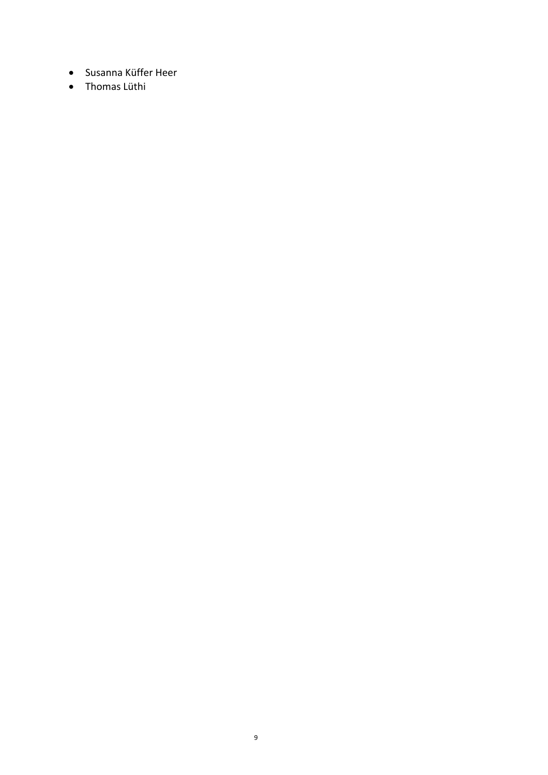- Susanna Küffer Heer
- Thomas Lüthi